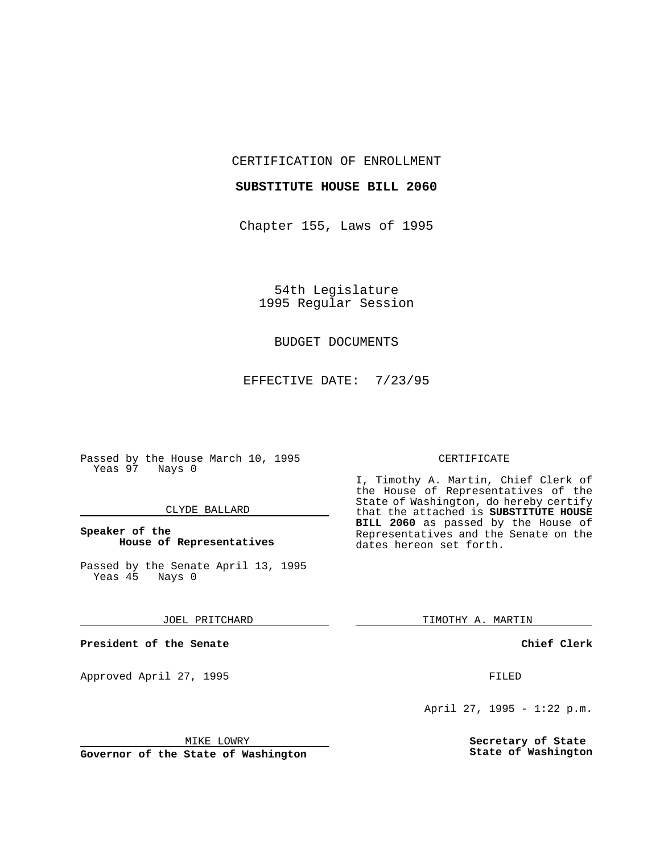CERTIFICATION OF ENROLLMENT

#### **SUBSTITUTE HOUSE BILL 2060**

Chapter 155, Laws of 1995

54th Legislature 1995 Regular Session

## BUDGET DOCUMENTS

EFFECTIVE DATE: 7/23/95

Passed by the House March 10, 1995 Yeas 97 Nays 0

## CLYDE BALLARD

# **Speaker of the House of Representatives**

Passed by the Senate April 13, 1995<br>Yeas 45 Nays 0 Yeas 45

#### JOEL PRITCHARD

**President of the Senate**

Approved April 27, 1995 FILED

#### MIKE LOWRY

**Governor of the State of Washington**

#### CERTIFICATE

I, Timothy A. Martin, Chief Clerk of the House of Representatives of the State of Washington, do hereby certify that the attached is **SUBSTITUTE HOUSE BILL 2060** as passed by the House of Representatives and the Senate on the dates hereon set forth.

TIMOTHY A. MARTIN

## **Chief Clerk**

April 27, 1995 - 1:22 p.m.

**Secretary of State State of Washington**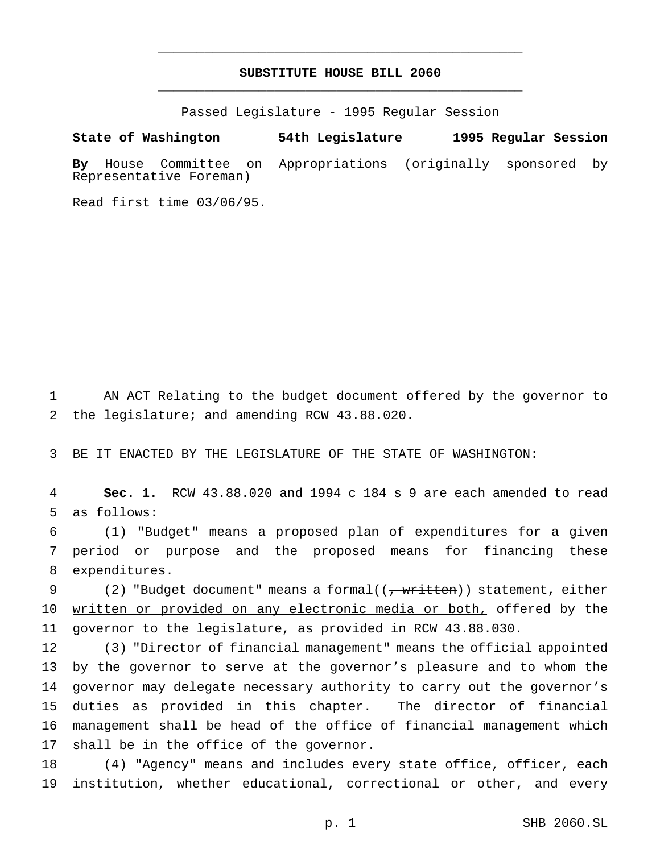# **SUBSTITUTE HOUSE BILL 2060** \_\_\_\_\_\_\_\_\_\_\_\_\_\_\_\_\_\_\_\_\_\_\_\_\_\_\_\_\_\_\_\_\_\_\_\_\_\_\_\_\_\_\_\_\_\_\_

\_\_\_\_\_\_\_\_\_\_\_\_\_\_\_\_\_\_\_\_\_\_\_\_\_\_\_\_\_\_\_\_\_\_\_\_\_\_\_\_\_\_\_\_\_\_\_

Passed Legislature - 1995 Regular Session

**State of Washington 54th Legislature 1995 Regular Session**

**By** House Committee on Appropriations (originally sponsored by Representative Foreman)

Read first time 03/06/95.

1 AN ACT Relating to the budget document offered by the governor to 2 the legislature; and amending RCW 43.88.020.

3 BE IT ENACTED BY THE LEGISLATURE OF THE STATE OF WASHINGTON:

4 **Sec. 1.** RCW 43.88.020 and 1994 c 184 s 9 are each amended to read 5 as follows:

6 (1) "Budget" means a proposed plan of expenditures for a given 7 period or purpose and the proposed means for financing these 8 expenditures.

9 (2) "Budget document" means a formal((<del>, written</del>)) statement, either 10 written or provided on any electronic media or both, offered by the 11 governor to the legislature, as provided in RCW 43.88.030.

 (3) "Director of financial management" means the official appointed by the governor to serve at the governor's pleasure and to whom the governor may delegate necessary authority to carry out the governor's duties as provided in this chapter. The director of financial management shall be head of the office of financial management which 17 shall be in the office of the governor.

18 (4) "Agency" means and includes every state office, officer, each 19 institution, whether educational, correctional or other, and every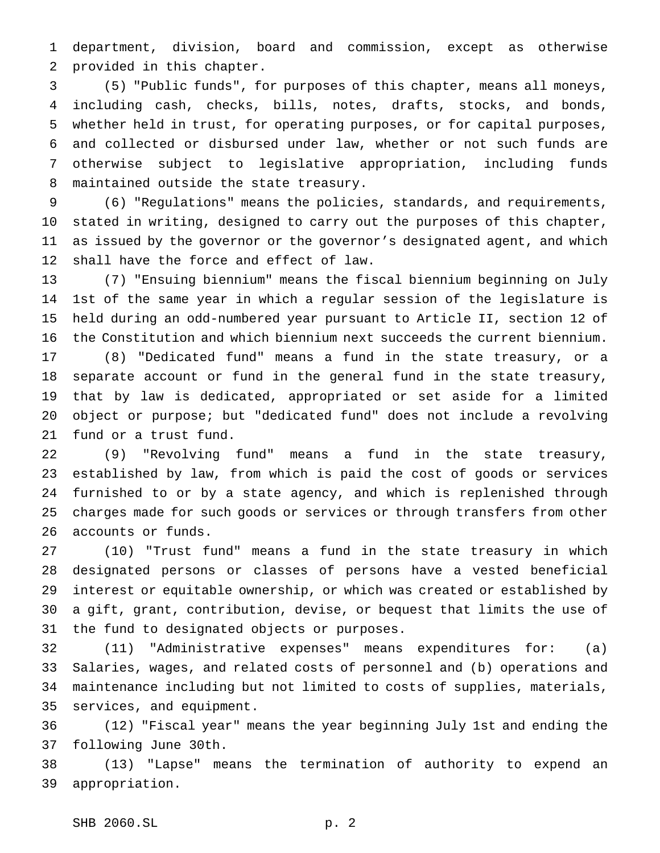department, division, board and commission, except as otherwise provided in this chapter.

 (5) "Public funds", for purposes of this chapter, means all moneys, including cash, checks, bills, notes, drafts, stocks, and bonds, whether held in trust, for operating purposes, or for capital purposes, and collected or disbursed under law, whether or not such funds are otherwise subject to legislative appropriation, including funds maintained outside the state treasury.

 (6) "Regulations" means the policies, standards, and requirements, stated in writing, designed to carry out the purposes of this chapter, as issued by the governor or the governor's designated agent, and which shall have the force and effect of law.

 (7) "Ensuing biennium" means the fiscal biennium beginning on July 1st of the same year in which a regular session of the legislature is held during an odd-numbered year pursuant to Article II, section 12 of the Constitution and which biennium next succeeds the current biennium.

 (8) "Dedicated fund" means a fund in the state treasury, or a separate account or fund in the general fund in the state treasury, that by law is dedicated, appropriated or set aside for a limited object or purpose; but "dedicated fund" does not include a revolving fund or a trust fund.

 (9) "Revolving fund" means a fund in the state treasury, established by law, from which is paid the cost of goods or services furnished to or by a state agency, and which is replenished through charges made for such goods or services or through transfers from other accounts or funds.

 (10) "Trust fund" means a fund in the state treasury in which designated persons or classes of persons have a vested beneficial interest or equitable ownership, or which was created or established by a gift, grant, contribution, devise, or bequest that limits the use of the fund to designated objects or purposes.

 (11) "Administrative expenses" means expenditures for: (a) Salaries, wages, and related costs of personnel and (b) operations and maintenance including but not limited to costs of supplies, materials, services, and equipment.

 (12) "Fiscal year" means the year beginning July 1st and ending the following June 30th.

 (13) "Lapse" means the termination of authority to expend an appropriation.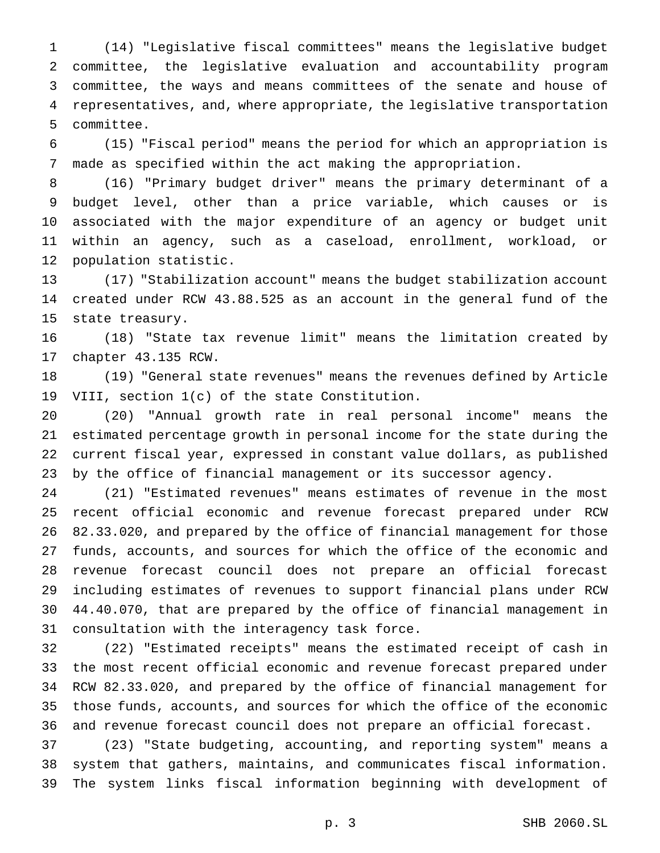(14) "Legislative fiscal committees" means the legislative budget committee, the legislative evaluation and accountability program committee, the ways and means committees of the senate and house of representatives, and, where appropriate, the legislative transportation committee.

 (15) "Fiscal period" means the period for which an appropriation is made as specified within the act making the appropriation.

 (16) "Primary budget driver" means the primary determinant of a budget level, other than a price variable, which causes or is associated with the major expenditure of an agency or budget unit within an agency, such as a caseload, enrollment, workload, or population statistic.

 (17) "Stabilization account" means the budget stabilization account created under RCW 43.88.525 as an account in the general fund of the state treasury.

 (18) "State tax revenue limit" means the limitation created by chapter 43.135 RCW.

 (19) "General state revenues" means the revenues defined by Article VIII, section 1(c) of the state Constitution.

 (20) "Annual growth rate in real personal income" means the estimated percentage growth in personal income for the state during the current fiscal year, expressed in constant value dollars, as published by the office of financial management or its successor agency.

 (21) "Estimated revenues" means estimates of revenue in the most recent official economic and revenue forecast prepared under RCW 82.33.020, and prepared by the office of financial management for those funds, accounts, and sources for which the office of the economic and revenue forecast council does not prepare an official forecast including estimates of revenues to support financial plans under RCW 44.40.070, that are prepared by the office of financial management in consultation with the interagency task force.

 (22) "Estimated receipts" means the estimated receipt of cash in the most recent official economic and revenue forecast prepared under RCW 82.33.020, and prepared by the office of financial management for those funds, accounts, and sources for which the office of the economic and revenue forecast council does not prepare an official forecast.

 (23) "State budgeting, accounting, and reporting system" means a system that gathers, maintains, and communicates fiscal information. The system links fiscal information beginning with development of